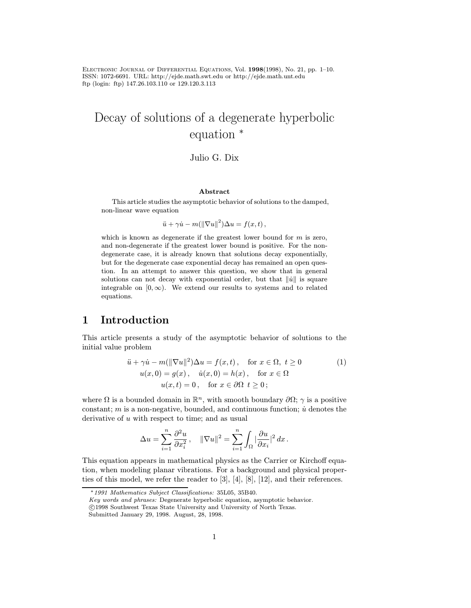Electronic Journal of Differential Equations, Vol. 1998(1998), No. 21, pp. 1–10. ISSN: 1072-6691. URL: http://ejde.math.swt.edu or http://ejde.math.unt.edu ftp (login: ftp) 147.26.103.110 or 129.120.3.113

# Decay of solutions of a degenerate hyperbolic equation <sup>∗</sup>

### Julio G. Dix

#### Abstract

This article studies the asymptotic behavior of solutions to the damped, non-linear wave equation

$$
\ddot{u} + \gamma \dot{u} - m(||\nabla u||^2)\Delta u = f(x, t),
$$

which is known as degenerate if the greatest lower bound for  $m$  is zero, and non-degenerate if the greatest lower bound is positive. For the nondegenerate case, it is already known that solutions decay exponentially, but for the degenerate case exponential decay has remained an open question. In an attempt to answer this question, we show that in general solutions can not decay with exponential order, but that  $\|\dot{u}\|$  is square integrable on  $[0, \infty)$ . We extend our results to systems and to related equations.

# 1 Introduction

This article presents a study of the asymptotic behavior of solutions to the initial value problem

$$
\ddot{u} + \gamma \dot{u} - m(||\nabla u||^2)\Delta u = f(x, t), \quad \text{for } x \in \Omega, \ t \ge 0
$$
  
\n
$$
u(x, 0) = g(x), \quad \dot{u}(x, 0) = h(x), \quad \text{for } x \in \Omega
$$
  
\n
$$
u(x, t) = 0, \quad \text{for } x \in \partial\Omega \ t \ge 0;
$$
\n(1)

where  $\Omega$  is a bounded domain in  $\mathbb{R}^n$ , with smooth boundary  $\partial\Omega$ ;  $\gamma$  is a positive constant; m is a non-negative, bounded, and continuous function;  $\dot{u}$  denotes the derivative of  $u$  with respect to time; and as usual

$$
\Delta u = \sum_{i=1}^n \frac{\partial^2 u}{\partial x_i^2}, \quad \|\nabla u\|^2 = \sum_{i=1}^n \int_{\Omega} |\frac{\partial u}{\partial x_i}|^2 dx.
$$

This equation appears in mathematical physics as the Carrier or Kirchoff equation, when modeling planar vibrations. For a background and physical properties of this model, we refer the reader to [3], [4], [8], [12], and their references.

Key words and phrases: Degenerate hyperbolic equation, asymptotic behavior.

<sup>∗</sup>1991 Mathematics Subject Classifications: 35L05, 35B40.

c 1998 Southwest Texas State University and University of North Texas.

Submitted January 29, 1998. August, 28, 1998.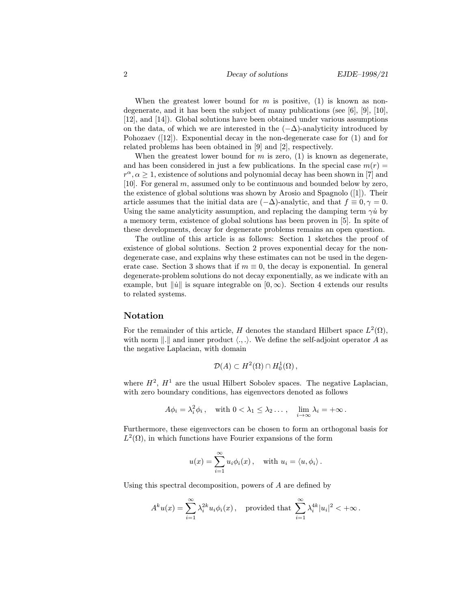When the greatest lower bound for  $m$  is positive, (1) is known as nondegenerate, and it has been the subject of many publications (see [6], [9], [10], [12], and [14]). Global solutions have been obtained under various assumptions on the data, of which we are interested in the  $(-\Delta)$ -analyticity introduced by Pohozaev  $(12)$ . Exponential decay in the non-degenerate case for  $(1)$  and for related problems has been obtained in [9] and [2], respectively.

When the greatest lower bound for  $m$  is zero, (1) is known as degenerate, and has been considered in just a few publications. In the special case  $m(r)$  =  $r^{\alpha}, \alpha \geq 1$ , existence of solutions and polynomial decay has been shown in [7] and [10]. For general m, assumed only to be continuous and bounded below by zero, the existence of global solutions was shown by Arosio and Spagnolo ([1]). Their article assumes that the initial data are  $(-\Delta)$ -analytic, and that  $f \equiv 0, \gamma = 0$ . Using the same analyticity assumption, and replacing the damping term  $\gamma \dot{u}$  by a memory term, existence of global solutions has been proven in [5]. In spite of these developments, decay for degenerate problems remains an open question.

The outline of this article is as follows: Section 1 sketches the proof of existence of global solutions. Section 2 proves exponential decay for the nondegenerate case, and explains why these estimates can not be used in the degenerate case. Section 3 shows that if  $m \equiv 0$ , the decay is exponential. In general degenerate-problem solutions do not decay exponentially, as we indicate with an example, but  $\|\dot{u}\|$  is square integrable on  $[0, \infty)$ . Section 4 extends our results to related systems.

#### Notation

For the remainder of this article, H denotes the standard Hilbert space  $L^2(\Omega)$ , with norm  $\|.\|$  and inner product  $\langle ...\rangle$ . We define the self-adjoint operator A as the negative Laplacian, with domain

$$
\mathcal{D}(A) \subset H^2(\Omega) \cap H_0^1(\Omega) ,
$$

where  $H^2$ ,  $H^1$  are the usual Hilbert Sobolev spaces. The negative Laplacian, with zero boundary conditions, has eigenvectors denoted as follows

$$
A\phi_i = \lambda_i^2 \phi_i, \quad \text{with } 0 < \lambda_1 \leq \lambda_2 \ldots, \quad \lim_{i \to \infty} \lambda_i = +\infty \, .
$$

Furthermore, these eigenvectors can be chosen to form an orthogonal basis for  $L^2(\Omega)$ , in which functions have Fourier expansions of the form

$$
u(x) = \sum_{i=1}^{\infty} u_i \phi_i(x)
$$
, with  $u_i = \langle u, \phi_i \rangle$ .

Using this spectral decomposition, powers of A are defined by

$$
A^k u(x) = \sum_{i=1}^{\infty} \lambda_i^{2k} u_i \phi_i(x) , \quad \text{provided that } \sum_{i=1}^{\infty} \lambda_i^{4k} |u_i|^2 < +\infty.
$$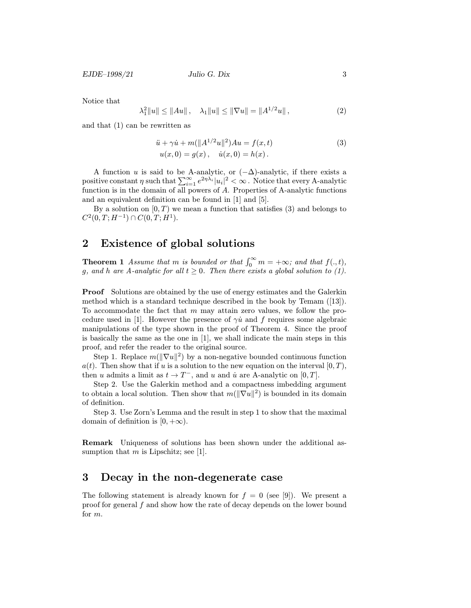Notice that

$$
\lambda_1^2 \|u\| \le \|Au\| \,, \quad \lambda_1 \|u\| \le \|\nabla u\| = \|A^{1/2}u\| \,, \tag{2}
$$

and that (1) can be rewritten as

$$
\ddot{u} + \gamma \dot{u} + m(||A^{1/2}u||^2)Au = f(x, t) \n u(x, 0) = g(x), \quad \dot{u}(x, 0) = h(x).
$$
\n(3)

A function u is said to be A-analytic, or  $(-\Delta)$ -analytic, if there exists a positive constant  $\eta$  such that  $\sum_{i=1}^{\infty}e^{2\eta\lambda_i}|u_i|^2<\infty$  . Notice that every A-analytic function is in the domain of all powers of A. Properties of A-analytic functions and an equivalent definition can be found in [1] and [5].

By a solution on  $[0, T)$  we mean a function that satisfies (3) and belongs to  $C^2(0,T;H^{-1})\cap C(0,T;H^1).$ 

## 2 Existence of global solutions

**Theorem 1** Assume that m is bounded or that  $\int_0^\infty m = +\infty$ ; and that  $f(. , t)$ , g, and h are A-analytic for all  $t \geq 0$ . Then there exists a global solution to (1).

Proof Solutions are obtained by the use of energy estimates and the Galerkin method which is a standard technique described in the book by Temam ([13]). To accommodate the fact that m may attain zero values, we follow the procedure used in [1]. However the presence of  $\gamma \dot{u}$  and f requires some algebraic manipulations of the type shown in the proof of Theorem 4. Since the proof is basically the same as the one in [1], we shall indicate the main steps in this proof, and refer the reader to the original source.

Step 1. Replace  $m(\|\nabla u\|^2)$  by a non-negative bounded continuous function  $a(t)$ . Then show that if u is a solution to the new equation on the interval  $[0, T)$ , then u admits a limit as  $t \to T^-$ , and u and  $\dot{u}$  are A-analytic on [0, T].

Step 2. Use the Galerkin method and a compactness imbedding argument to obtain a local solution. Then show that  $m(\|\nabla u\|^2)$  is bounded in its domain of definition.

Step 3. Use Zorn's Lemma and the result in step 1 to show that the maximal domain of definition is  $[0, +\infty)$ .

Remark Uniqueness of solutions has been shown under the additional assumption that  $m$  is Lipschitz; see [1].

# 3 Decay in the non-degenerate case

The following statement is already known for  $f = 0$  (see [9]). We present a proof for general f and show how the rate of decay depends on the lower bound for m.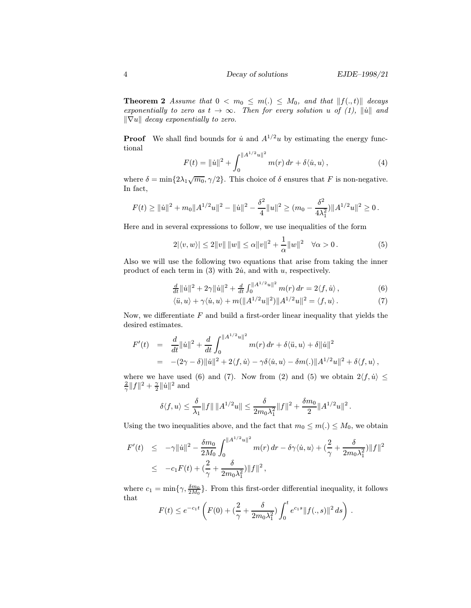**Theorem 2** Assume that  $0 < m_0 \leq m(.) \leq M_0$ , and that  $||f(., t)||$  decays exponentially to zero as  $t \to \infty$ . Then for every solution u of (1),  $\|\dot{u}\|$  and  $\|\nabla u\|$  decay exponentially to zero.

**Proof** We shall find bounds for  $\dot{u}$  and  $A^{1/2}u$  by estimating the energy functional

$$
F(t) = \|\dot{u}\|^2 + \int_0^{\|A^{1/2}u\|^2} m(r) dr + \delta \langle \dot{u}, u \rangle, \qquad (4)
$$

where  $\delta = \min\{2\lambda_1\sqrt{m_0}, \gamma/2\}$ . This choice of  $\delta$  ensures that F is non-negative. In fact,

$$
F(t) \geq ||\dot{u}||^2 + m_0 ||A^{1/2}u||^2 - ||\dot{u}||^2 - \frac{\delta^2}{4} ||u||^2 \geq (m_0 - \frac{\delta^2}{4\lambda_1^2}) ||A^{1/2}u||^2 \geq 0.
$$

Here and in several expressions to follow, we use inequalities of the form

$$
2|\langle v, w \rangle| \le 2||v|| \, ||w|| \le \alpha ||v||^2 + \frac{1}{\alpha} ||w||^2 \quad \forall \alpha > 0. \tag{5}
$$

Also we will use the following two equations that arise from taking the inner product of each term in  $(3)$  with  $2\dot{u}$ , and with u, respectively.

$$
\frac{d}{dt} \|\dot{u}\|^2 + 2\gamma \|\dot{u}\|^2 + \frac{d}{dt} \int_0^{\|A^{1/2}u\|^2} m(r) \, dr = 2 \langle f, \dot{u} \rangle \,, \tag{6}
$$

$$
\langle \ddot{u}, u \rangle + \gamma \langle \dot{u}, u \rangle + m(||A^{1/2}u||^2) ||A^{1/2}u||^2 = \langle f, u \rangle.
$$
 (7)

Now, we differentiate  $F$  and build a first-order linear inequality that yields the desired estimates.

$$
F'(t) = \frac{d}{dt} ||\dot{u}||^2 + \frac{d}{dt} \int_0^{||A^{1/2}u||^2} m(r) dr + \delta \langle \ddot{u}, u \rangle + \delta ||\dot{u}||^2
$$
  
=  $-(2\gamma - \delta) ||\dot{u}||^2 + 2\langle f, \dot{u} \rangle - \gamma \delta \langle \dot{u}, u \rangle - \delta m(.) ||A^{1/2}u||^2 + \delta \langle f, u \rangle,$ 

where we have used (6) and (7). Now from (2) and (5) we obtain  $2\langle f, \dot{u} \rangle \leq$  $\frac{2}{\gamma} ||f||^2 + \frac{\gamma}{2} ||\dot{u}||^2$  and

$$
\delta \langle f, u \rangle \leq \frac{\delta}{\lambda_1} \|f\| \, \|A^{1/2} u\| \leq \frac{\delta}{2m_0 \lambda_1^2} \|f\|^2 + \frac{\delta m_0}{2} \|A^{1/2} u\|^2 \,.
$$

Using the two inequalities above, and the fact that  $m_0 \leq m(.) \leq M_0$ , we obtain

$$
F'(t) \leq -\gamma ||\dot{u}||^2 - \frac{\delta m_0}{2M_0} \int_0^{||A^{1/2}u||^2} m(r) dr - \delta \gamma \langle \dot{u}, u \rangle + (\frac{2}{\gamma} + \frac{\delta}{2m_0 \lambda_1^2}) ||f||^2
$$
  

$$
\leq -c_1 F(t) + (\frac{2}{\gamma} + \frac{\delta}{2m_0 \lambda_1^2}) ||f||^2,
$$

where  $c_1 = \min\{\gamma, \frac{\delta m_0}{2M_0}\}$ . From this first-order differential inequality, it follows that

$$
F(t) \le e^{-c_1 t} \left( F(0) + \left( \frac{2}{\gamma} + \frac{\delta}{2m_0 \lambda_1^2} \right) \int_0^t e^{c_1 s} \|f(., s)\|^2 ds \right) .
$$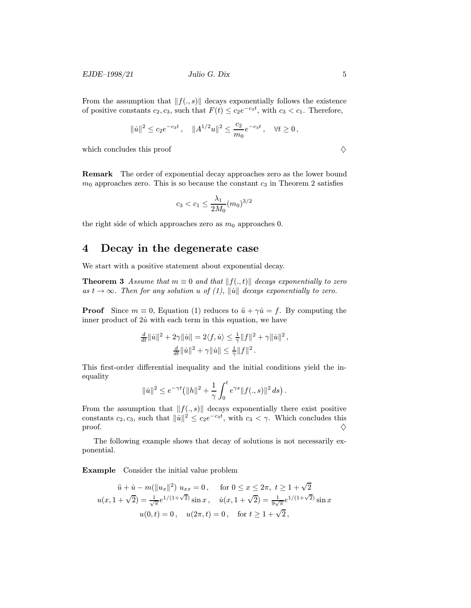$EJDE-1998/21$  Julio G. Dix 5

From the assumption that  $||f(., s)||$  decays exponentially follows the existence of positive constants  $c_2, c_3$ , such that  $F(t) \leq c_2e^{-c_3t}$ , with  $c_3 < c_1$ . Therefore,

$$
\|\dot{u}\|^2\leq c_2e^{-c_3t}\,,\quad \|A^{1/2}u\|^2\leq \frac{c_2}{m_0}e^{-c_3t}\,,\quad \forall t\geq 0\,,
$$

which concludes this proof  $\Diamond$ 

Remark The order of exponential decay approaches zero as the lower bound  $m_0$  approaches zero. This is so because the constant  $c_3$  in Theorem 2 satisfies

$$
c_3 < c_1 \le \frac{\lambda_1}{2M_0} (m_0)^{3/2}
$$

the right side of which approaches zero as  $m_0$  approaches 0.

# 4 Decay in the degenerate case

We start with a positive statement about exponential decay.

**Theorem 3** Assume that  $m \equiv 0$  and that  $||f(., t)||$  decays exponentially to zero as  $t \to \infty$ . Then for any solution u of (1), ||u<sup>|</sup>| decays exponentially to zero.

**Proof** Since  $m \equiv 0$ , Equation (1) reduces to  $\ddot{u} + \gamma \dot{u} = f$ . By computing the inner product of  $2\dot{u}$  with each term in this equation, we have

$$
\frac{d}{dt} ||\dot{u}||^2 + 2\gamma ||\dot{u}|| = 2\langle f, \dot{u}\rangle \le \frac{1}{\gamma} ||f||^2 + \gamma ||\dot{u}||^2 ,
$$
  

$$
\frac{d}{dt} ||\dot{u}||^2 + \gamma ||\dot{u}|| \le \frac{1}{\gamma} ||f||^2 .
$$

This first-order differential inequality and the initial conditions yield the inequality

$$
\|\dot{u}\|^2 \leq e^{-\gamma t} \big( \|h\|^2 + \frac{1}{\gamma} \int_0^t e^{\gamma s} \|f(.,s)\|^2 ds \big) .
$$

From the assumption that  $||f(., s)||$  decays exponentially there exist positive constants  $c_2, c_3$ , such that  $\|\hat{u}\|^2 \leq c_2e^{-c_3t}$ , with  $c_3 < \gamma$ . Which concludes this proof.  $\diamondsuit$ 

The following example shows that decay of solutions is not necessarily exponential.

Example Consider the initial value problem

$$
\ddot{u} + \dot{u} - m(\|u_x\|^2) \ u_{xx} = 0, \quad \text{for } 0 \le x \le 2\pi, \ t \ge 1 + \sqrt{2}
$$

$$
u(x, 1 + \sqrt{2}) = \frac{1}{\sqrt{\pi}} e^{1/(1+\sqrt{2})} \sin x, \quad \dot{u}(x, 1 + \sqrt{2}) = \frac{1}{9\sqrt{\pi}} e^{1/(1+\sqrt{2})} \sin x
$$

$$
u(0, t) = 0, \quad u(2\pi, t) = 0, \quad \text{for } t \ge 1 + \sqrt{2},
$$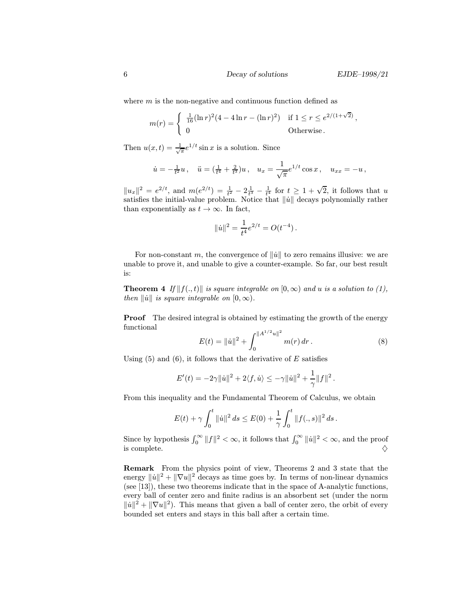where  $m$  is the non-negative and continuous function defined as

$$
m(r) = \begin{cases} \frac{1}{16} (\ln r)^2 (4 - 4 \ln r - (\ln r)^2) & \text{if } 1 \le r \le e^{2/(1+\sqrt{2})}, \\ 0 & \text{Otherwise}. \end{cases}
$$

Then  $u(x,t) = \frac{1}{\sqrt{\pi}} e^{1/t} \sin x$  is a solution. Since

$$
\dot{u} = -\frac{1}{t^2}u
$$
,  $\ddot{u} = (\frac{1}{t^4} + \frac{2}{t^3})u$ ,  $u_x = \frac{1}{\sqrt{\pi}}e^{1/t}\cos x$ ,  $u_{xx} = -u$ ,

 $||u_x||^2 = e^{2/t}$ , and  $m(e^{2/t}) = \frac{1}{t^2} - 2\frac{1}{t^3} - \frac{1}{t^4}$  for  $t \ge 1 + \sqrt{2}$ , it follows that u satisfies the initial-value problem. Notice that  $\|\dot{u}\|$  decays polynomially rather than exponentially as  $t \to \infty$ . In fact,

$$
\|\dot{u}\|^2 = \frac{1}{t^4}e^{2/t} = O(t^{-4}).
$$

For non-constant m, the convergence of  $\|\dot{u}\|$  to zero remains illusive: we are unable to prove it, and unable to give a counter-example. So far, our best result is:

**Theorem 4** If  $||f(., t)||$  is square integrable on  $[0, \infty)$  and u is a solution to (1), then  $\|\dot{u}\|$  is square integrable on  $[0, \infty)$ .

**Proof** The desired integral is obtained by estimating the growth of the energy functional

$$
E(t) = ||\dot{u}||^2 + \int_0^{||A^{1/2}u||^2} m(r) dr.
$$
 (8)

Using  $(5)$  and  $(6)$ , it follows that the derivative of E satisfies

$$
E'(t)=-2\gamma\|\dot u\|^2+2\langle f,\dot u\rangle\leq-\gamma\|\dot u\|^2+\frac{1}{\gamma}\|f\|^2\,.
$$

From this inequality and the Fundamental Theorem of Calculus, we obtain

$$
E(t) + \gamma \int_0^t \|\dot{u}\|^2 ds \leq E(0) + \frac{1}{\gamma} \int_0^t \|f(.,s)\|^2 ds.
$$

Since by hypothesis  $\int_0^\infty ||f||^2 < \infty$ , it follows that  $\int_0^\infty ||\dot{u}||^2 < \infty$ , and the proof is complete.  $\Diamond$ 

Remark From the physics point of view, Theorems 2 and 3 state that the energy  $\|\dot{u}\|^2 + \|\nabla u\|^2$  decays as time goes by. In terms of non-linear dynamics (see [13]), these two theorems indicate that in the space of A-analytic functions, every ball of center zero and finite radius is an absorbent set (under the norm  $\|\dot{u}\|^2 + \|\nabla u\|^2$ ). This means that given a ball of center zero, the orbit of every bounded set enters and stays in this ball after a certain time.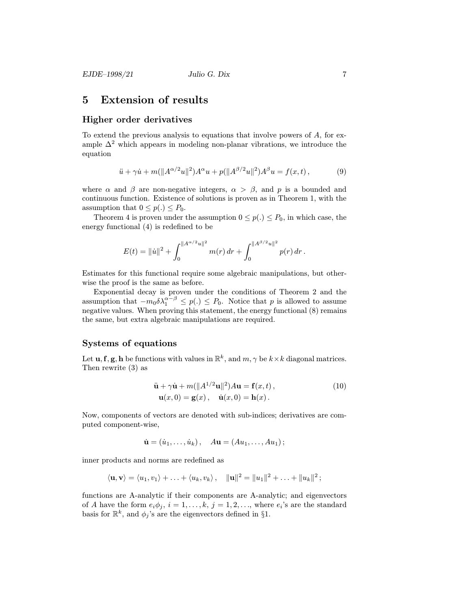## 5 Extension of results

#### Higher order derivatives

To extend the previous analysis to equations that involve powers of A, for example  $\Delta^2$  which appears in modeling non-planar vibrations, we introduce the equation

$$
\ddot{u} + \gamma \dot{u} + m(||A^{\alpha/2}u||^2)A^{\alpha}u + p(||A^{\beta/2}u||^2)A^{\beta}u = f(x,t),
$$
 (9)

where  $\alpha$  and  $\beta$  are non-negative integers,  $\alpha > \beta$ , and p is a bounded and continuous function. Existence of solutions is proven as in Theorem 1, with the assumption that  $0 \leq p(.) \leq P_0$ .

Theorem 4 is proven under the assumption  $0 \leq p(.) \leq P_0$ , in which case, the energy functional (4) is redefined to be

$$
E(t) = ||\dot{u}||^2 + \int_0^{||A^{\alpha/2}u||^2} m(r) dr + \int_0^{||A^{\beta/2}u||^2} p(r) dr.
$$

Estimates for this functional require some algebraic manipulations, but otherwise the proof is the same as before.

Exponential decay is proven under the conditions of Theorem 2 and the assumption that  $-m_0 \delta \lambda_1^{\alpha-\beta} \leq p(.) \leq P_0$ . Notice that p is allowed to assume negative values. When proving this statement, the energy functional (8) remains the same, but extra algebraic manipulations are required.

#### Systems of equations

Let **u**, **f**, **g**, **h** be functions with values in  $\mathbb{R}^k$ , and  $m, \gamma$  be  $k \times k$  diagonal matrices. Then rewrite (3) as

$$
\ddot{\mathbf{u}} + \gamma \dot{\mathbf{u}} + m(||A^{1/2}\mathbf{u}||^2)A\mathbf{u} = \mathbf{f}(x, t),
$$
  
\n
$$
\mathbf{u}(x, 0) = \mathbf{g}(x), \quad \dot{\mathbf{u}}(x, 0) = \mathbf{h}(x).
$$
\n(10)

Now, components of vectors are denoted with sub-indices; derivatives are computed component-wise,

$$
\dot{\mathbf{u}} = (\dot{u}_1, \dots, \dot{u}_k), \quad A\mathbf{u} = (Au_1, \dots, Au_1);
$$

inner products and norms are redefined as

$$
\langle \mathbf{u}, \mathbf{v} \rangle = \langle u_1, v_1 \rangle + \ldots + \langle u_k, v_k \rangle, \quad ||\mathbf{u}||^2 = ||u_1||^2 + \ldots + ||u_k||^2;
$$

functions are A-analytic if their components are A-analytic; and eigenvectors of A have the form  $e_i\phi_j$ ,  $i=1,\ldots,k$ ,  $j=1,2,\ldots$ , where  $e_i$ 's are the standard basis for  $\mathbb{R}^k,$  and  $\phi_j$  's are the eigenvectors defined in §1.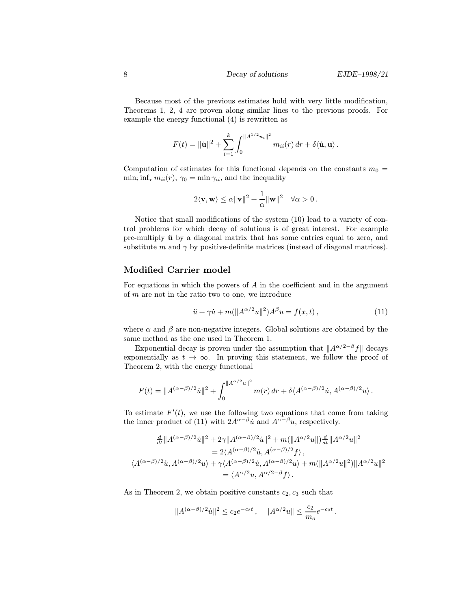Because most of the previous estimates hold with very little modification, Theorems 1, 2, 4 are proven along similar lines to the previous proofs. For example the energy functional (4) is rewritten as

$$
F(t) = \|\dot{\mathbf{u}}\|^2 + \sum_{i=1}^k \int_0^{\|A^{1/2} u_i\|^2} m_{ii}(r) dr + \delta \langle \dot{\mathbf{u}}, \mathbf{u} \rangle.
$$

Computation of estimates for this functional depends on the constants  $m_0 =$  $\min_i \inf_r m_{ii}(r)$ ,  $\gamma_0 = \min_i \gamma_{ii}$ , and the inequality

$$
2\langle \mathbf{v}, \mathbf{w} \rangle \leq \alpha \|\mathbf{v}\|^2 + \frac{1}{\alpha} \|\mathbf{w}\|^2 \quad \forall \alpha > 0.
$$

Notice that small modifications of the system (10) lead to a variety of control problems for which decay of solutions is of great interest. For example pre-multiply  $\ddot{u}$  by a diagonal matrix that has some entries equal to zero, and substitute m and  $\gamma$  by positive-definite matrices (instead of diagonal matrices).

### Modified Carrier model

For equations in which the powers of  $A$  in the coefficient and in the argument of m are not in the ratio two to one, we introduce

$$
\ddot{u} + \gamma \dot{u} + m(||A^{\alpha/2}u||^2)A^{\beta}u = f(x, t),
$$
\n(11)

where  $\alpha$  and  $\beta$  are non-negative integers. Global solutions are obtained by the same method as the one used in Theorem 1.

Exponential decay is proven under the assumption that  $||A^{\alpha/2-\beta}f||$  decays exponentially as  $t \to \infty$ . In proving this statement, we follow the proof of Theorem 2, with the energy functional

$$
F(t) = \|A^{(\alpha-\beta)/2}u\|^2 + \int_0^{\|A^{\alpha/2}u\|^2} m(r) dr + \delta \langle A^{(\alpha-\beta)/2}u, A^{(\alpha-\beta)/2}u \rangle.
$$

To estimate  $F'(t)$ , we use the following two equations that come from taking the inner product of (11) with  $2A^{\alpha-\beta}u$  and  $A^{\alpha-\beta}u$ , respectively.

$$
\frac{d}{dt}||A^{(\alpha-\beta)/2}\ddot{u}||^2 + 2\gamma||A^{(\alpha-\beta)/2}\ddot{u}||^2 + m(||A^{\alpha/2}u||)\frac{d}{dt}||A^{\alpha/2}u||^2
$$
  
\n
$$
= 2\langle A^{(\alpha-\beta)/2}\ddot{u}, A^{(\alpha-\beta)/2}f \rangle ,
$$
  
\n
$$
\langle A^{(\alpha-\beta)/2}\ddot{u}, A^{(\alpha-\beta)/2}u \rangle + \gamma\langle A^{(\alpha-\beta)/2}\dot{u}, A^{(\alpha-\beta)/2}u \rangle + m(||A^{\alpha/2}u||^2)||A^{\alpha/2}u||^2
$$
  
\n
$$
= \langle A^{\alpha/2}u, A^{\alpha/2-\beta}f \rangle .
$$

As in Theorem 2, we obtain positive constants  $c_2, c_3$  such that

$$
||A^{(\alpha - \beta)/2} \dot{u}||^2 \le c_2 e^{-c_3 t} , \quad ||A^{\alpha/2} u|| \le \frac{c_2}{m_o} e^{-c_3 t} .
$$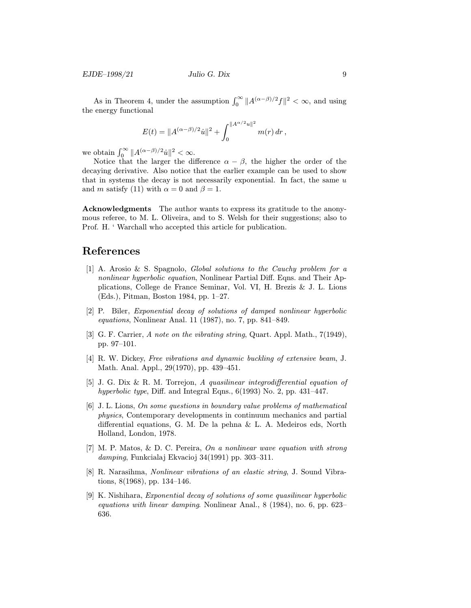$EJDE-1998/21$  Julio G. Dix 9

As in Theorem 4, under the assumption  $\int_0^\infty ||A^{(\alpha-\beta)/2}f||^2 < \infty$ , and using the energy functional

$$
E(t) = \|A^{(\alpha-\beta)/2}u\|^2 + \int_0^{\|A^{\alpha/2}u\|^2} m(r) dr,
$$

we obtain  $\int_0^\infty \|A^{(\alpha-\beta)/2}u\|^2 < \infty$ .

Notice that the larger the difference  $\alpha - \beta$ , the higher the order of the decaying derivative. Also notice that the earlier example can be used to show that in systems the decay is not necessarily exponential. In fact, the same  $u$ and m satisfy (11) with  $\alpha = 0$  and  $\beta = 1$ .

Acknowledgments The author wants to express its gratitude to the anonymous referee, to M. L. Oliveira, and to S. Welsh for their suggestions; also to Prof. H. ' Warchall who accepted this article for publication.

# References

- [1] A. Arosio & S. Spagnolo, Global solutions to the Cauchy problem for a nonlinear hyperbolic equation, Nonlinear Partial Diff. Eqns. and Their Applications, College de France Seminar, Vol. VI, H. Brezis & J. L. Lions (Eds.), Pitman, Boston 1984, pp. 1–27.
- [2] P. Biler, Exponential decay of solutions of damped nonlinear hyperbolic equations, Nonlinear Anal. 11 (1987), no. 7, pp. 841–849.
- [3] G. F. Carrier, A note on the vibrating string, Quart. Appl. Math., 7(1949), pp. 97–101.
- [4] R. W. Dickey, Free vibrations and dynamic buckling of extensive beam, J. Math. Anal. Appl., 29(1970), pp. 439–451.
- [5] J. G. Dix & R. M. Torrejon, A quasilinear integrodifferential equation of hyperbolic type, Diff. and Integral Eqns., 6(1993) No. 2, pp. 431–447.
- [6] J. L. Lions, On some questions in boundary value problems of mathematical physics, Contemporary developments in continuum mechanics and partial differential equations, G. M. De la pehna & L. A. Medeiros eds, North Holland, London, 1978.
- [7] M. P. Matos, & D. C. Pereira, On a nonlinear wave equation with strong damping, Funkcialaj Ekvacioj 34(1991) pp. 303–311.
- [8] R. Narasihma, Nonlinear vibrations of an elastic string, J. Sound Vibrations, 8(1968), pp. 134–146.
- [9] K. Nishihara, Exponential decay of solutions of some quasilinear hyperbolic equations with linear damping. Nonlinear Anal., 8 (1984), no. 6, pp. 623– 636.